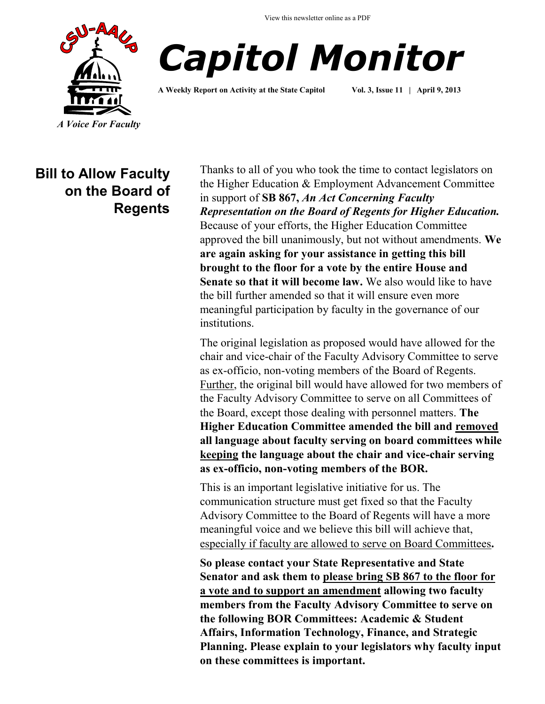View this newsletter online as a PDF





**A Weekly Report on Activity at the State Capitol Vol. 3, Issue 11 | April 9, 2013**

**Bill to Allow Faculty on the Board of Regents**

Thanks to all of you who took the time to contact legislators on the Higher Education & Employment Advancement Committee in support of **SB 867,** *An Act Concerning Faculty Representation on the Board of Regents for Higher Education.* Because of your efforts, the Higher Education Committee approved the bill unanimously, but not without amendments. **We are again asking for your assistance in getting this bill brought to the floor for a vote by the entire House and Senate so that it will become law.** We also would like to have the bill further amended so that it will ensure even more meaningful participation by faculty in the governance of our institutions.

The original legislation as proposed would have allowed for the chair and vice-chair of the Faculty Advisory Committee to serve as ex-officio, non-voting members of the Board of Regents. Further, the original bill would have allowed for two members of the Faculty Advisory Committee to serve on all Committees of the Board, except those dealing with personnel matters. **The Higher Education Committee amended the bill and removed all language about faculty serving on board committees while keeping the language about the chair and vice-chair serving as ex-officio, non-voting members of the BOR.**

This is an important legislative initiative for us. The communication structure must get fixed so that the Faculty Advisory Committee to the Board of Regents will have a more meaningful voice and we believe this bill will achieve that, especially if faculty are allowed to serve on Board Committees**.**

**So please contact your State Representative and State Senator and ask them to please bring SB 867 to the floor for a vote and to support an amendment allowing two faculty members from the Faculty Advisory Committee to serve on the following BOR Committees: Academic & Student Affairs, Information Technology, Finance, and Strategic Planning. Please explain to your legislators why faculty input on these committees is important.**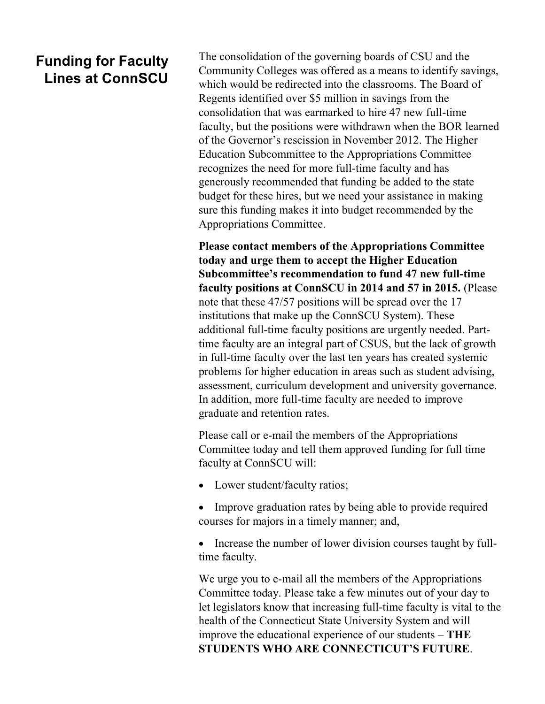## **Funding for Faculty Lines at ConnSCU**

The consolidation of the governing boards of CSU and the Community Colleges was offered as a means to identify savings, which would be redirected into the classrooms. The Board of Regents identified over \$5 million in savings from the consolidation that was earmarked to hire 47 new full-time faculty, but the positions were withdrawn when the BOR learned of the Governor's rescission in November 2012. The Higher Education Subcommittee to the Appropriations Committee recognizes the need for more full-time faculty and has generously recommended that funding be added to the state budget for these hires, but we need your assistance in making sure this funding makes it into budget recommended by the Appropriations Committee.

**Please contact members of the Appropriations Committee today and urge them to accept the Higher Education Subcommittee's recommendation to fund 47 new full-time faculty positions at ConnSCU in 2014 and 57 in 2015.** (Please note that these 47/57 positions will be spread over the 17 institutions that make up the ConnSCU System). These additional full-time faculty positions are urgently needed. Parttime faculty are an integral part of CSUS, but the lack of growth in full-time faculty over the last ten years has created systemic problems for higher education in areas such as student advising, assessment, curriculum development and university governance. In addition, more full-time faculty are needed to improve graduate and retention rates.

Please call or e-mail the members of the Appropriations Committee today and tell them approved funding for full time faculty at ConnSCU will:

- Lower student/faculty ratios;
- Improve graduation rates by being able to provide required courses for majors in a timely manner; and,

 Increase the number of lower division courses taught by fulltime faculty.

We urge you to e-mail all the members of the Appropriations Committee today. Please take a few minutes out of your day to let legislators know that increasing full-time faculty is vital to the health of the Connecticut State University System and will improve the educational experience of our students – **THE STUDENTS WHO ARE CONNECTICUT'S FUTURE**.